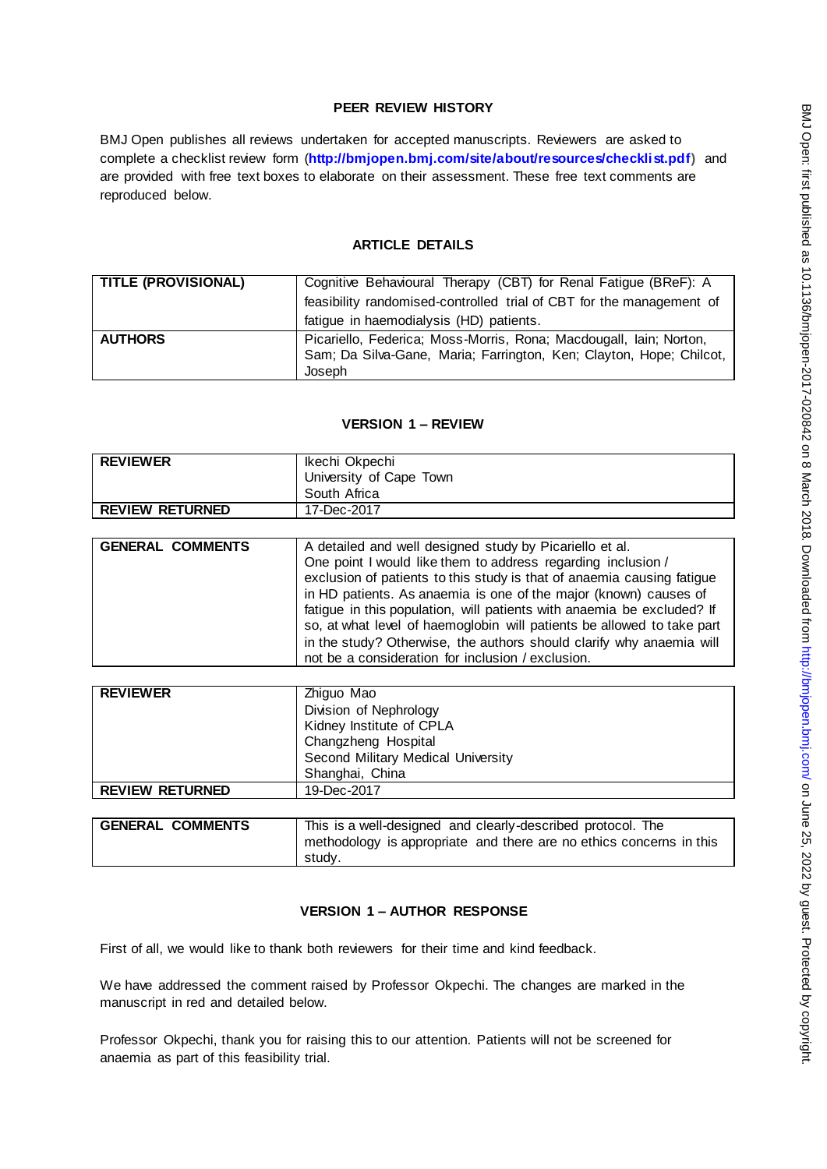## **PEER REVIEW HISTORY**

BMJ Open publishes all reviews undertaken for accepted manuscripts. Reviewers are asked to complete a checklist review form (**[http://bmjopen.bmj.com/site/about/resources/checklist.pdf\)](http://bmjopen.bmj.com/site/about/resources/checklist.pdf)** and are provided with free text boxes to elaborate on their assessment. These free text comments are reproduced below.

## **ARTICLE DETAILS**

| <b>TITLE (PROVISIONAL)</b> | Cognitive Behavioural Therapy (CBT) for Renal Fatigue (BReF): A      |
|----------------------------|----------------------------------------------------------------------|
|                            | feasibility randomised-controlled trial of CBT for the management of |
|                            | fatigue in haemodialysis (HD) patients.                              |
| <b>AUTHORS</b>             | Picariello, Federica; Moss-Morris, Rona; Macdougall, Iain; Norton,   |
|                            | Sam; Da Silva-Gane, Maria; Farrington, Ken; Clayton, Hope; Chilcot,  |
|                            | Joseph                                                               |

## **VERSION 1 – REVIEW**

| <b>REVIEWER</b>        | Ikechi Okpechi<br>University of Cape Town |
|------------------------|-------------------------------------------|
|                        | South Africa                              |
| <b>REVIEW RETURNED</b> | 17-Dec-2017                               |

| <b>GENERAL COMMENTS</b> | A detailed and well designed study by Picariello et al.                |
|-------------------------|------------------------------------------------------------------------|
|                         | One point I would like them to address regarding inclusion /           |
|                         | exclusion of patients to this study is that of anaemia causing fatigue |
|                         | in HD patients. As anaemia is one of the major (known) causes of       |
|                         | fatigue in this population, will patients with anaemia be excluded? If |
|                         | so, at what level of haemoglobin will patients be allowed to take part |
|                         | in the study? Otherwise, the authors should clarify why anaemia will   |
|                         | not be a consideration for inclusion / exclusion.                      |

| <b>REVIEWER</b>        | Zhiguo Mao                         |
|------------------------|------------------------------------|
|                        | Division of Nephrology             |
|                        | Kidney Institute of CPLA           |
|                        | Changzheng Hospital                |
|                        | Second Military Medical University |
|                        | Shanghai, China                    |
| <b>REVIEW RETURNED</b> | 19-Dec-2017                        |
|                        |                                    |
|                        |                                    |

| <b>GENERAL COMMENTS</b> | This is a well-designed and clearly-described protocol. The                   |
|-------------------------|-------------------------------------------------------------------------------|
|                         | methodology is appropriate and there are no ethics concerns in this<br>studv. |
|                         |                                                                               |

## **VERSION 1 – AUTHOR RESPONSE**

First of all, we would like to thank both reviewers for their time and kind feedback.

We have addressed the comment raised by Professor Okpechi. The changes are marked in the manuscript in red and detailed below.

Professor Okpechi, thank you for raising this to our attention. Patients will not be screened for anaemia as part of this feasibility trial.